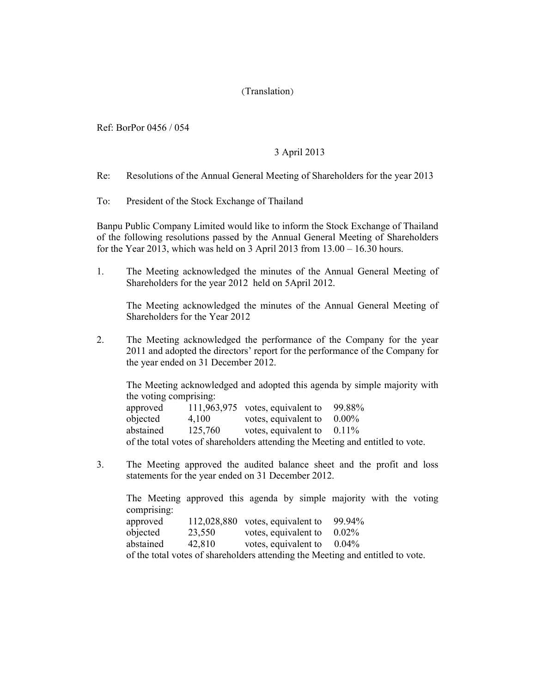## (Translation)

Ref: BorPor 0456 / 054

## 3 April 2013

Re: Resolutions of the Annual General Meeting of Shareholders for the year 2013

To: President of the Stock Exchange of Thailand

Banpu Public Company Limited would like to inform the Stock Exchange of Thailand of the following resolutions passed by the Annual General Meeting of Shareholders for the Year 2013, which was held on 3 April 2013 from 13.00 – 16.30 hours.

1. The Meeting acknowledged the minutes of the Annual General Meeting of Shareholders for the year 2012 held on 5April 2012.

The Meeting acknowledged the minutes of the Annual General Meeting of Shareholders for the Year 2012

2. The Meeting acknowledged the performance of the Company for the year 2011 and adopted the directors' report for the performance of the Company for the year ended on 31 December 2012.

The Meeting acknowledged and adopted this agenda by simple majority with the voting comprising: approved 111,963,975 votes, equivalent to 99.88% objected 4,100 votes, equivalent to 0.00% abstained 125,760 votes, equivalent to 0.11% of the total votes of shareholders attending the Meeting and entitled to vote.

3. The Meeting approved the audited balance sheet and the profit and loss statements for the year ended on 31 December 2012.

The Meeting approved this agenda by simple majority with the voting comprising: approved  $112,028,880$  votes, equivalent to  $99.94\%$ <br>objected  $23,550$  votes equivalent to  $0.02\%$ votes, equivalent to

| <b>υυ</b> ιστισα | 23,330 | voies, equivalent to | 0.0270   |  |
|------------------|--------|----------------------|----------|--|
| abstained        | 42,810 | votes, equivalent to | $0.04\%$ |  |

of the total votes of shareholders attending the Meeting and entitled to vote.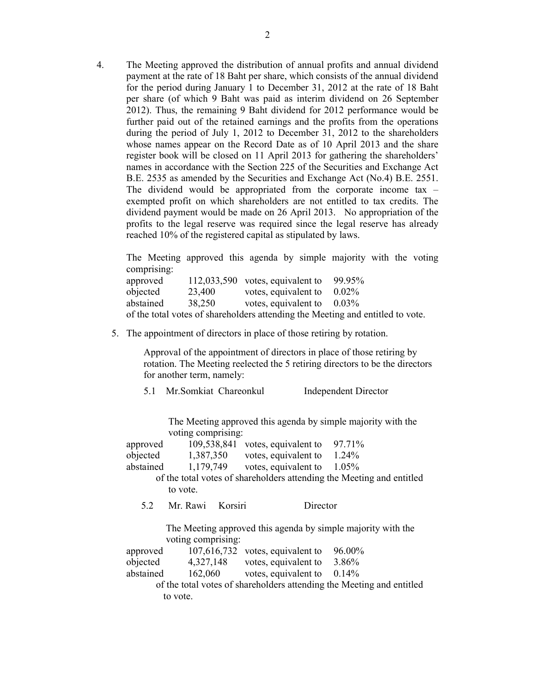4. The Meeting approved the distribution of annual profits and annual dividend payment at the rate of 18 Baht per share, which consists of the annual dividend for the period during January 1 to December 31, 2012 at the rate of 18 Baht per share (of which 9 Baht was paid as interim dividend on 26 September 2012). Thus, the remaining 9 Baht dividend for 2012 performance would be further paid out of the retained earnings and the profits from the operations during the period of July 1, 2012 to December 31, 2012 to the shareholders whose names appear on the Record Date as of 10 April 2013 and the share register book will be closed on 11 April 2013 for gathering the shareholders' names in accordance with the Section 225 of the Securities and Exchange Act B.E. 2535 as amended by the Securities and Exchange Act (No.4) B.E. 2551. The dividend would be appropriated from the corporate income tax – exempted profit on which shareholders are not entitled to tax credits. The dividend payment would be made on 26 April 2013. No appropriation of the profits to the legal reserve was required since the legal reserve has already reached 10% of the registered capital as stipulated by laws.

The Meeting approved this agenda by simple majority with the voting comprising:

approved 112,033,590 votes, equivalent to 99.95% objected 23,400 votes, equivalent to 0.02% abstained 38,250 votes, equivalent to 0.03% of the total votes of shareholders attending the Meeting and entitled to vote.

5. The appointment of directors in place of those retiring by rotation.

 Approval of the appointment of directors in place of those retiring by rotation. The Meeting reelected the 5 retiring directors to be the directors for another term, namely:

5.1 Mr.Somkiat Chareonkul Independent Director

 The Meeting approved this agenda by simple majority with the voting comprising:

| approved                                                                           | 109,538,841                                                           | votes, equivalent to | 97.71%                                                                |  |  |
|------------------------------------------------------------------------------------|-----------------------------------------------------------------------|----------------------|-----------------------------------------------------------------------|--|--|
| objected                                                                           | 1,387,350                                                             | votes, equivalent to | 1.24%                                                                 |  |  |
| abstained                                                                          | 1,179,749                                                             | votes, equivalent to | 1.05%                                                                 |  |  |
|                                                                                    | of the total votes of shareholders attending the Meeting and entitled |                      |                                                                       |  |  |
|                                                                                    | to vote.                                                              |                      |                                                                       |  |  |
| 5.2                                                                                | Mr. Rawi<br>Korsiri                                                   | Director             |                                                                       |  |  |
| The Meeting approved this agenda by simple majority with the<br>voting comprising: |                                                                       |                      |                                                                       |  |  |
| approved                                                                           | 107,616,732                                                           | votes, equivalent to | 96.00%                                                                |  |  |
| objected                                                                           | 4,327,148                                                             | votes, equivalent to | 3.86%                                                                 |  |  |
| abstained                                                                          | 162,060                                                               | votes, equivalent to | 0.14%                                                                 |  |  |
|                                                                                    |                                                                       |                      | of the total votes of shareholders attending the Meeting and entitled |  |  |

to vote.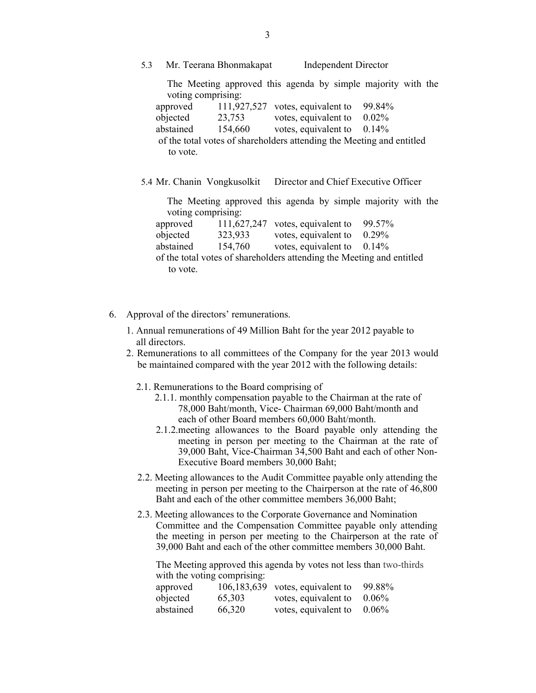5.3 Mr. Teerana Bhonmakapat Independent Director

The Meeting approved this agenda by simple majority with the voting comprising:

| approved                                                              |         | $111,927,527$ votes, equivalent to | 99.84%   |
|-----------------------------------------------------------------------|---------|------------------------------------|----------|
| objected                                                              | 23,753  | votes, equivalent to               | $0.02\%$ |
| abstained                                                             | 154,660 | votes, equivalent to $0.14\%$      |          |
| of the total votes of shareholders attending the Meeting and entitled |         |                                    |          |
| to vote.                                                              |         |                                    |          |

5.4 Mr. Chanin Vongkusolkit Director and Chief Executive Officer

The Meeting approved this agenda by simple majority with the voting comprising:

| approved  |         | 111,627,247 votes, equivalent to $99.57\%$                            |  |
|-----------|---------|-----------------------------------------------------------------------|--|
| objected  | 323,933 | votes, equivalent to $0.29\%$                                         |  |
| abstained | 154,760 | votes, equivalent to $0.14\%$                                         |  |
|           |         | of the total votes of shareholders attending the Meeting and entitled |  |
| to vote.  |         |                                                                       |  |

- 6. Approval of the directors' remunerations.
	- 1. Annual remunerations of 49 Million Baht for the year 2012 payable to all directors.
	- 2. Remunerations to all committees of the Company for the year 2013 would be maintained compared with the year 2012 with the following details:
		- 2.1. Remunerations to the Board comprising of
			- 2.1.1. monthly compensation payable to the Chairman at the rate of 78,000 Baht/month, Vice- Chairman 69,000 Baht/month and each of other Board members 60,000 Baht/month.
			- 2.1.2.meeting allowances to the Board payable only attending the meeting in person per meeting to the Chairman at the rate of 39,000 Baht, Vice-Chairman 34,500 Baht and each of other Non-Executive Board members 30,000 Baht;
		- 2.2. Meeting allowances to the Audit Committee payable only attending the meeting in person per meeting to the Chairperson at the rate of 46,800 Baht and each of the other committee members 36,000 Baht;
		- 2.3. Meeting allowances to the Corporate Governance and Nomination Committee and the Compensation Committee payable only attending the meeting in person per meeting to the Chairperson at the rate of 39,000 Baht and each of the other committee members 30,000 Baht.

The Meeting approved this agenda by votes not less than two-thirds with the voting comprising:

| approved  |        | $106, 183, 639$ votes, equivalent to | 99.88%   |
|-----------|--------|--------------------------------------|----------|
| objected  | 65,303 | votes, equivalent to                 | $0.06\%$ |
| abstained | 66.320 | votes, equivalent to                 | $0.06\%$ |